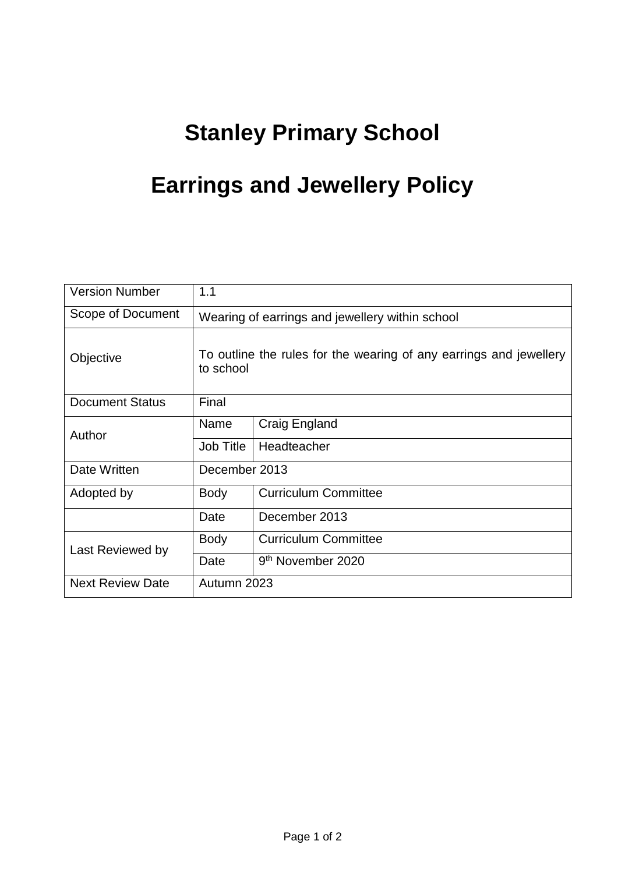## **Stanley Primary School**

## **Earrings and Jewellery Policy**

| <b>Version Number</b>   | 1.1                                                                             |                               |
|-------------------------|---------------------------------------------------------------------------------|-------------------------------|
| Scope of Document       | Wearing of earrings and jewellery within school                                 |                               |
| Objective               | To outline the rules for the wearing of any earrings and jewellery<br>to school |                               |
| <b>Document Status</b>  | Final                                                                           |                               |
| Author                  | Name                                                                            | <b>Craig England</b>          |
|                         | Job Title                                                                       | Headteacher                   |
| Date Written            | December 2013                                                                   |                               |
| Adopted by              | <b>Body</b>                                                                     | <b>Curriculum Committee</b>   |
|                         | Date                                                                            | December 2013                 |
| Last Reviewed by        | <b>Body</b>                                                                     | <b>Curriculum Committee</b>   |
|                         | Date                                                                            | 9 <sup>th</sup> November 2020 |
| <b>Next Review Date</b> | Autumn 2023                                                                     |                               |